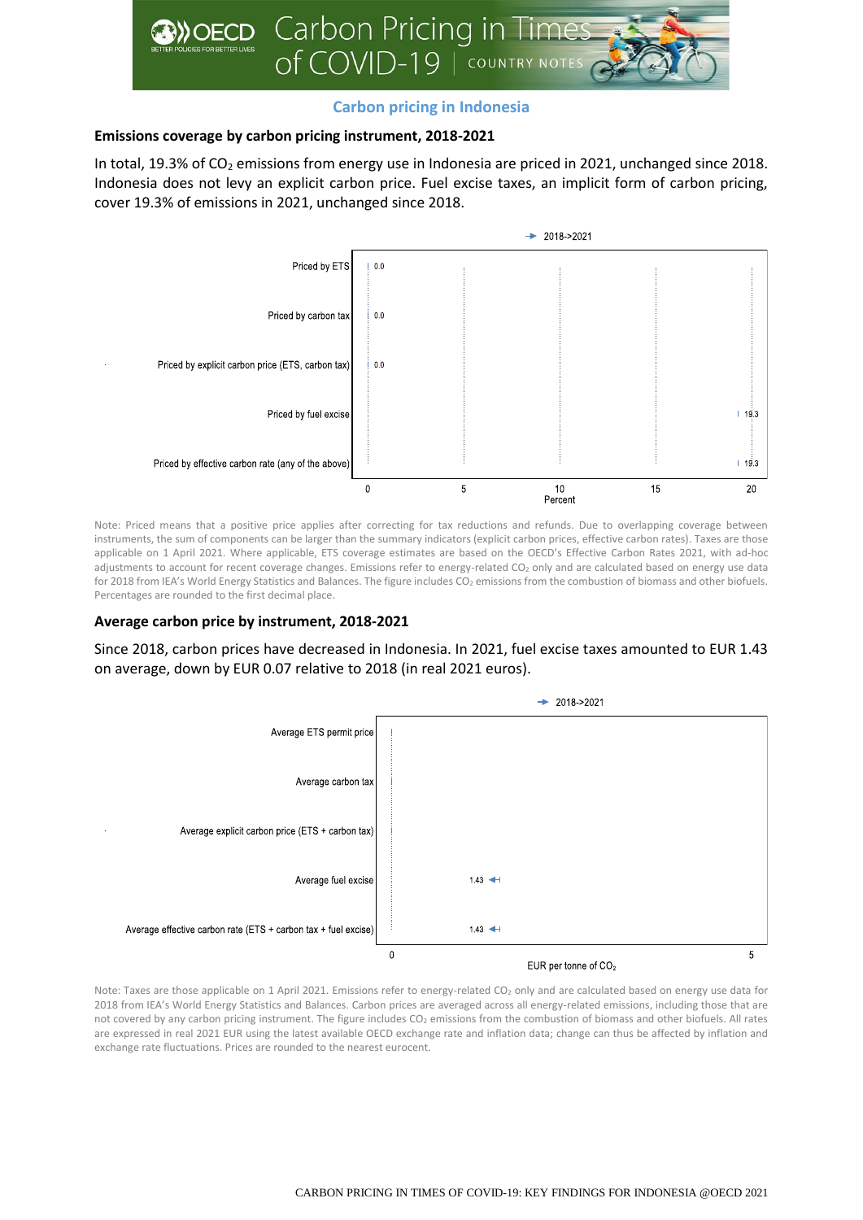

# **Carbon pricing in Indonesia**

## **Emissions coverage by carbon pricing instrument, 2018-2021**

In total, 19.3% of CO<sub>2</sub> emissions from energy use in Indonesia are priced in 2021, unchanged since 2018. Indonesia does not levy an explicit carbon price. Fuel excise taxes, an implicit form of carbon pricing, cover 19.3% of emissions in 2021, unchanged since 2018.



Note: Priced means that a positive price applies after correcting for tax reductions and refunds. Due to overlapping coverage between instruments, the sum of components can be larger than the summary indicators (explicit carbon prices, effective carbon rates). Taxes are those applicable on 1 April 2021. Where applicable, ETS coverage estimates are based on the OECD's Effective Carbon Rates 2021, with ad-hoc adjustments to account for recent coverage changes. Emissions refer to energy-related CO<sub>2</sub> only and are calculated based on energy use data for 2018 from IEA's World Energy Statistics and Balances. The figure includes CO<sub>2</sub> emissions from the combustion of biomass and other biofuels. Percentages are rounded to the first decimal place.

### **Average carbon price by instrument, 2018-2021**

Since 2018, carbon prices have decreased in Indonesia. In 2021, fuel excise taxes amounted to EUR 1.43 on average, down by EUR 0.07 relative to 2018 (in real 2021 euros).



Note: Taxes are those applicable on 1 April 2021. Emissions refer to energy-related CO<sub>2</sub> only and are calculated based on energy use data for 2018 from IEA's World Energy Statistics and Balances. Carbon prices are averaged across all energy-related emissions, including those that are not covered by any carbon pricing instrument. The figure includes CO<sub>2</sub> emissions from the combustion of biomass and other biofuels. All rates are expressed in real 2021 EUR using the latest available OECD exchange rate and inflation data; change can thus be affected by inflation and exchange rate fluctuations. Prices are rounded to the nearest eurocent.